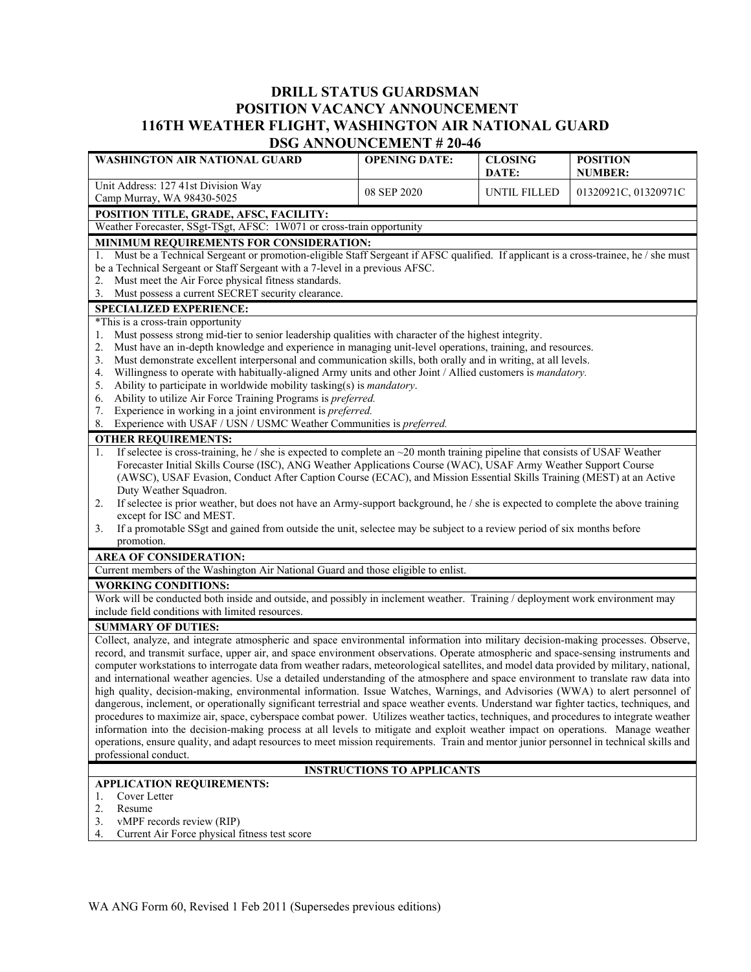## **DRILL STATUS GUARDSMAN POSITION VACANCY ANNOUNCEMENT 116TH WEATHER FLIGHT, WASHINGTON AIR NATIONAL GUARD DSG ANNOUNCEMENT # 20-46**

| <b>WASHINGTON AIR NATIONAL GUARD</b>                                                                                                                                                                                                                                       | DOO ARROURCEMENT # 20-70<br><b>OPENING DATE:</b> | <b>CLOSING</b> | <b>POSITION</b>      |  |
|----------------------------------------------------------------------------------------------------------------------------------------------------------------------------------------------------------------------------------------------------------------------------|--------------------------------------------------|----------------|----------------------|--|
|                                                                                                                                                                                                                                                                            |                                                  | DATE:          | <b>NUMBER:</b>       |  |
| Unit Address: 127 41st Division Way<br>Camp Murray, WA 98430-5025                                                                                                                                                                                                          | 08 SEP 2020                                      | UNTIL FILLED   | 01320921C, 01320971C |  |
| POSITION TITLE, GRADE, AFSC, FACILITY:                                                                                                                                                                                                                                     |                                                  |                |                      |  |
| Weather Forecaster, SSgt-TSgt, AFSC: 1W071 or cross-train opportunity                                                                                                                                                                                                      |                                                  |                |                      |  |
| MINIMUM REQUIREMENTS FOR CONSIDERATION:                                                                                                                                                                                                                                    |                                                  |                |                      |  |
| Must be a Technical Sergeant or promotion-eligible Staff Sergeant if AFSC qualified. If applicant is a cross-trainee, he / she must<br>1.                                                                                                                                  |                                                  |                |                      |  |
| be a Technical Sergeant or Staff Sergeant with a 7-level in a previous AFSC.                                                                                                                                                                                               |                                                  |                |                      |  |
| Must meet the Air Force physical fitness standards.<br>2.                                                                                                                                                                                                                  |                                                  |                |                      |  |
| Must possess a current SECRET security clearance.<br>3.                                                                                                                                                                                                                    |                                                  |                |                      |  |
| <b>SPECIALIZED EXPERIENCE:</b>                                                                                                                                                                                                                                             |                                                  |                |                      |  |
| *This is a cross-train opportunity                                                                                                                                                                                                                                         |                                                  |                |                      |  |
| Must possess strong mid-tier to senior leadership qualities with character of the highest integrity.<br>1.                                                                                                                                                                 |                                                  |                |                      |  |
| Must have an in-depth knowledge and experience in managing unit-level operations, training, and resources.<br>2.                                                                                                                                                           |                                                  |                |                      |  |
| Must demonstrate excellent interpersonal and communication skills, both orally and in writing, at all levels.<br>3.                                                                                                                                                        |                                                  |                |                      |  |
| Willingness to operate with habitually-aligned Army units and other Joint / Allied customers is mandatory.<br>4.                                                                                                                                                           |                                                  |                |                      |  |
| Ability to participate in worldwide mobility tasking(s) is <i>mandatory</i> .<br>5.<br>Ability to utilize Air Force Training Programs is preferred.                                                                                                                        |                                                  |                |                      |  |
| 6.<br>Experience in working in a joint environment is preferred.<br>7.                                                                                                                                                                                                     |                                                  |                |                      |  |
| 8.<br>Experience with USAF / USN / USMC Weather Communities is preferred.                                                                                                                                                                                                  |                                                  |                |                      |  |
| <b>OTHER REQUIREMENTS:</b>                                                                                                                                                                                                                                                 |                                                  |                |                      |  |
| If selectee is cross-training, he / she is expected to complete an $\sim$ 20 month training pipeline that consists of USAF Weather<br>1.                                                                                                                                   |                                                  |                |                      |  |
| Forecaster Initial Skills Course (ISC), ANG Weather Applications Course (WAC), USAF Army Weather Support Course                                                                                                                                                            |                                                  |                |                      |  |
| (AWSC), USAF Evasion, Conduct After Caption Course (ECAC), and Mission Essential Skills Training (MEST) at an Active                                                                                                                                                       |                                                  |                |                      |  |
| Duty Weather Squadron.                                                                                                                                                                                                                                                     |                                                  |                |                      |  |
| If selectee is prior weather, but does not have an Army-support background, he / she is expected to complete the above training<br>2.                                                                                                                                      |                                                  |                |                      |  |
| except for ISC and MEST.                                                                                                                                                                                                                                                   |                                                  |                |                      |  |
| If a promotable SSgt and gained from outside the unit, selectee may be subject to a review period of six months before<br>3.                                                                                                                                               |                                                  |                |                      |  |
| promotion.                                                                                                                                                                                                                                                                 |                                                  |                |                      |  |
| <b>AREA OF CONSIDERATION:</b>                                                                                                                                                                                                                                              |                                                  |                |                      |  |
| Current members of the Washington Air National Guard and those eligible to enlist.                                                                                                                                                                                         |                                                  |                |                      |  |
| <b>WORKING CONDITIONS:</b>                                                                                                                                                                                                                                                 |                                                  |                |                      |  |
| Work will be conducted both inside and outside, and possibly in inclement weather. Training / deployment work environment may                                                                                                                                              |                                                  |                |                      |  |
| include field conditions with limited resources.                                                                                                                                                                                                                           |                                                  |                |                      |  |
| <b>SUMMARY OF DUTIES:</b>                                                                                                                                                                                                                                                  |                                                  |                |                      |  |
| Collect, analyze, and integrate atmospheric and space environmental information into military decision-making processes. Observe,                                                                                                                                          |                                                  |                |                      |  |
| record, and transmit surface, upper air, and space environment observations. Operate atmospheric and space-sensing instruments and                                                                                                                                         |                                                  |                |                      |  |
| computer workstations to interrogate data from weather radars, meteorological satellites, and model data provided by military, national,                                                                                                                                   |                                                  |                |                      |  |
| and international weather agencies. Use a detailed understanding of the atmosphere and space environment to translate raw data into<br>high quality, decision-making, environmental information. Issue Watches, Warnings, and Advisories (WWA) to alert personnel of       |                                                  |                |                      |  |
| dangerous, inclement, or operationally significant terrestrial and space weather events. Understand war fighter tactics, techniques, and                                                                                                                                   |                                                  |                |                      |  |
| procedures to maximize air, space, cyberspace combat power. Utilizes weather tactics, techniques, and procedures to integrate weather                                                                                                                                      |                                                  |                |                      |  |
|                                                                                                                                                                                                                                                                            |                                                  |                |                      |  |
| information into the decision-making process at all levels to mitigate and exploit weather impact on operations. Manage weather<br>operations, ensure quality, and adapt resources to meet mission requirements. Train and mentor junior personnel in technical skills and |                                                  |                |                      |  |
| professional conduct.                                                                                                                                                                                                                                                      |                                                  |                |                      |  |
| <b>INSTRUCTIONS TO APPLICANTS</b>                                                                                                                                                                                                                                          |                                                  |                |                      |  |
| <b>APPLICATION REQUIREMENTS:</b>                                                                                                                                                                                                                                           |                                                  |                |                      |  |
| Cover Letter<br>1.                                                                                                                                                                                                                                                         |                                                  |                |                      |  |
| 2.<br>Resume                                                                                                                                                                                                                                                               |                                                  |                |                      |  |

3. vMPF records review (RIP)

4. Current Air Force physical fitness test score